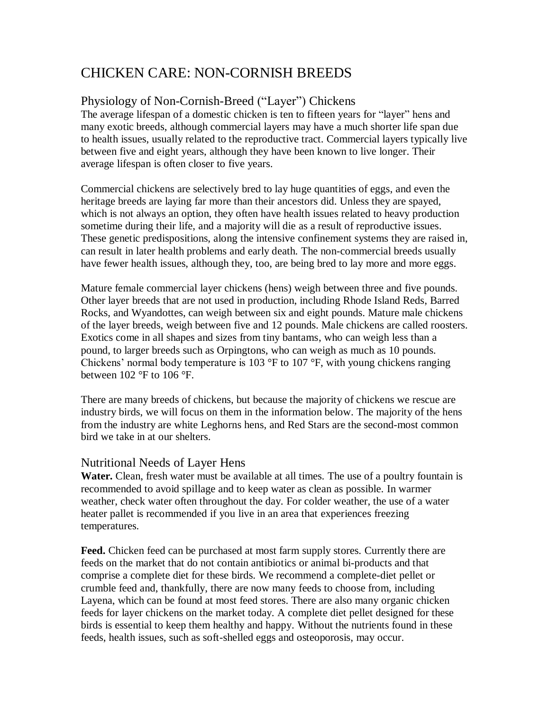# CHICKEN CARE: NON-CORNISH BREEDS

# Physiology of Non-Cornish-Breed ("Layer") Chickens

The average lifespan of a domestic chicken is ten to fifteen years for "layer" hens and many exotic breeds, although commercial layers may have a much shorter life span due to health issues, usually related to the reproductive tract. Commercial layers typically live between five and eight years, although they have been known to live longer. Their average lifespan is often closer to five years.

Commercial chickens are selectively bred to lay huge quantities of eggs, and even the heritage breeds are laying far more than their ancestors did. Unless they are spayed, which is not always an option, they often have health issues related to heavy production sometime during their life, and a majority will die as a result of reproductive issues. These genetic predispositions, along the intensive confinement systems they are raised in, can result in later health problems and early death. The non-commercial breeds usually have fewer health issues, although they, too, are being bred to lay more and more eggs.

Mature female commercial layer chickens (hens) weigh between three and five pounds. Other layer breeds that are not used in production, including Rhode Island Reds, Barred Rocks, and Wyandottes, can weigh between six and eight pounds. Mature male chickens of the layer breeds, weigh between five and 12 pounds. Male chickens are called roosters. Exotics come in all shapes and sizes from tiny bantams, who can weigh less than a pound, to larger breeds such as Orpingtons, who can weigh as much as 10 pounds. Chickens' normal body temperature is 103 °F to 107 °F, with young chickens ranging between  $102$  °F to  $106$  °F.

There are many breeds of chickens, but because the majority of chickens we rescue are industry birds, we will focus on them in the information below. The majority of the hens from the industry are white Leghorns hens, and Red Stars are the second-most common bird we take in at our shelters.

# Nutritional Needs of Layer Hens

**Water.** Clean, fresh water must be available at all times. The use of a poultry fountain is recommended to avoid spillage and to keep water as clean as possible. In warmer weather, check water often throughout the day. For colder weather, the use of a water heater pallet is recommended if you live in an area that experiences freezing temperatures.

**Feed.** Chicken feed can be purchased at most farm supply stores. Currently there are feeds on the market that do not contain antibiotics or animal bi-products and that comprise a complete diet for these birds. We recommend a complete-diet pellet or crumble feed and, thankfully, there are now many feeds to choose from, including Layena, which can be found at most feed stores. There are also many organic chicken feeds for layer chickens on the market today. A complete diet pellet designed for these birds is essential to keep them healthy and happy. Without the nutrients found in these feeds, health issues, such as soft-shelled eggs and osteoporosis, may occur.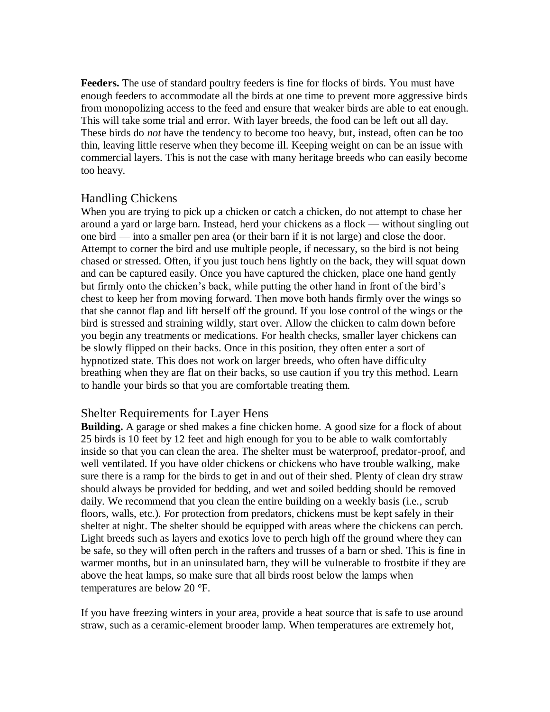**Feeders.** The use of standard poultry feeders is fine for flocks of birds. You must have enough feeders to accommodate all the birds at one time to prevent more aggressive birds from monopolizing access to the feed and ensure that weaker birds are able to eat enough. This will take some trial and error. With layer breeds, the food can be left out all day. These birds do *not* have the tendency to become too heavy, but, instead, often can be too thin, leaving little reserve when they become ill. Keeping weight on can be an issue with commercial layers. This is not the case with many heritage breeds who can easily become too heavy.

# Handling Chickens

When you are trying to pick up a chicken or catch a chicken, do not attempt to chase her around a yard or large barn. Instead, herd your chickens as a flock — without singling out one bird — into a smaller pen area (or their barn if it is not large) and close the door. Attempt to corner the bird and use multiple people, if necessary, so the bird is not being chased or stressed. Often, if you just touch hens lightly on the back, they will squat down and can be captured easily. Once you have captured the chicken, place one hand gently but firmly onto the chicken's back, while putting the other hand in front of the bird's chest to keep her from moving forward. Then move both hands firmly over the wings so that she cannot flap and lift herself off the ground. If you lose control of the wings or the bird is stressed and straining wildly, start over. Allow the chicken to calm down before you begin any treatments or medications. For health checks, smaller layer chickens can be slowly flipped on their backs. Once in this position, they often enter a sort of hypnotized state. This does not work on larger breeds, who often have difficulty breathing when they are flat on their backs, so use caution if you try this method. Learn to handle your birds so that you are comfortable treating them.

#### Shelter Requirements for Layer Hens

**Building.** A garage or shed makes a fine chicken home. A good size for a flock of about 25 birds is 10 feet by 12 feet and high enough for you to be able to walk comfortably inside so that you can clean the area. The shelter must be waterproof, predator-proof, and well ventilated. If you have older chickens or chickens who have trouble walking, make sure there is a ramp for the birds to get in and out of their shed. Plenty of clean dry straw should always be provided for bedding, and wet and soiled bedding should be removed daily. We recommend that you clean the entire building on a weekly basis (i.e., scrub floors, walls, etc.). For protection from predators, chickens must be kept safely in their shelter at night. The shelter should be equipped with areas where the chickens can perch. Light breeds such as layers and exotics love to perch high off the ground where they can be safe, so they will often perch in the rafters and trusses of a barn or shed. This is fine in warmer months, but in an uninsulated barn, they will be vulnerable to frostbite if they are above the heat lamps, so make sure that all birds roost below the lamps when temperatures are below 20 °F.

If you have freezing winters in your area, provide a heat source that is safe to use around straw, such as a ceramic-element brooder lamp. When temperatures are extremely hot,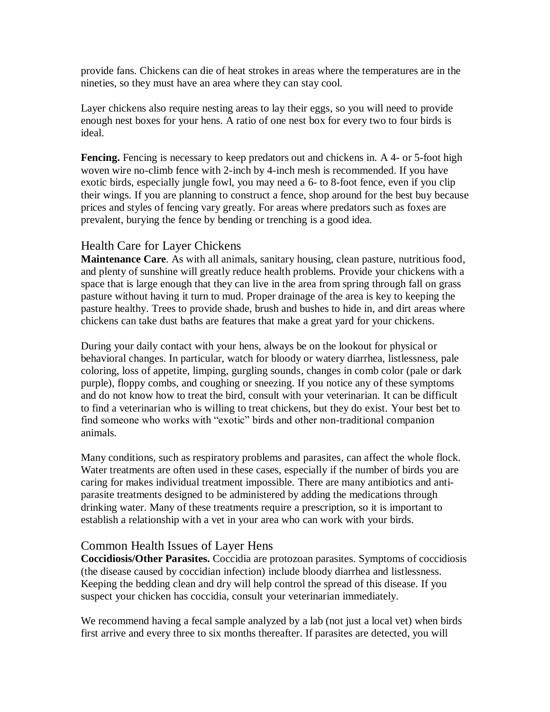provide fans. Chickens can die of heat strokes in areas where the temperatures are in the nineties, so they must have an area where they can stay cool.

Layer chickens also require nesting areas to lay their eggs, so you will need to provide enough nest boxes for your hens. A ratio of one nest box for every two to four birds is ideal.

**Fencing.** Fencing is necessary to keep predators out and chickens in. A 4- or 5-foot high woven wire no-climb fence with 2-inch by 4-inch mesh is recommended. If you have exotic birds, especially jungle fowl, you may need a 6- to 8-foot fence, even if you clip their wings. If you are planning to construct a fence, shop around for the best buy because prices and styles of fencing vary greatly. For areas where predators such as foxes are prevalent, burying the fence by bending or trenching is a good idea.

### Health Care for Layer Chickens

**Maintenance Care**. As with all animals, sanitary housing, clean pasture, nutritious food, and plenty of sunshine will greatly reduce health problems. Provide your chickens with a space that is large enough that they can live in the area from spring through fall on grass pasture without having it turn to mud. Proper drainage of the area is key to keeping the pasture healthy. Trees to provide shade, brush and bushes to hide in, and dirt areas where chickens can take dust baths are features that make a great yard for your chickens.

During your daily contact with your hens, always be on the lookout for physical or behavioral changes. In particular, watch for bloody or watery diarrhea, listlessness, pale coloring, loss of appetite, limping, gurgling sounds, changes in comb color (pale or dark purple), floppy combs, and coughing or sneezing. If you notice any of these symptoms and do not know how to treat the bird, consult with your veterinarian. It can be difficult to find a veterinarian who is willing to treat chickens, but they do exist. Your best bet to find someone who works with "exotic" birds and other non-traditional companion animals.

Many conditions, such as respiratory problems and parasites, can affect the whole flock. Water treatments are often used in these cases, especially if the number of birds you are caring for makes individual treatment impossible. There are many antibiotics and antiparasite treatments designed to be administered by adding the medications through drinking water. Many of these treatments require a prescription, so it is important to establish a relationship with a vet in your area who can work with your birds.

# Common Health Issues of Layer Hens

**Coccidiosis/Other Parasites.** Coccidia are protozoan parasites. Symptoms of coccidiosis (the disease caused by coccidian infection) include bloody diarrhea and listlessness. Keeping the bedding clean and dry will help control the spread of this disease. If you suspect your chicken has coccidia, consult your veterinarian immediately.

We recommend having a fecal sample analyzed by a lab (not just a local vet) when birds first arrive and every three to six months thereafter. If parasites are detected, you will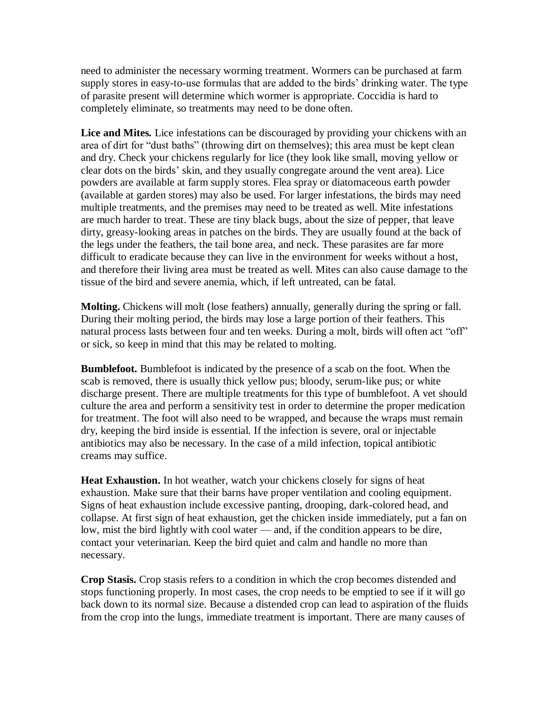need to administer the necessary worming treatment. Wormers can be purchased at farm supply stores in easy-to-use formulas that are added to the birds' drinking water. The type of parasite present will determine which wormer is appropriate. Coccidia is hard to completely eliminate, so treatments may need to be done often.

**Lice and Mites***.* Lice infestations can be discouraged by providing your chickens with an area of dirt for "dust baths" (throwing dirt on themselves); this area must be kept clean and dry. Check your chickens regularly for lice (they look like small, moving yellow or clear dots on the birds' skin, and they usually congregate around the vent area). Lice powders are available at farm supply stores. Flea spray or diatomaceous earth powder (available at garden stores) may also be used. For larger infestations, the birds may need multiple treatments, and the premises may need to be treated as well. Mite infestations are much harder to treat. These are tiny black bugs, about the size of pepper, that leave dirty, greasy-looking areas in patches on the birds. They are usually found at the back of the legs under the feathers, the tail bone area, and neck. These parasites are far more difficult to eradicate because they can live in the environment for weeks without a host, and therefore their living area must be treated as well. Mites can also cause damage to the tissue of the bird and severe anemia, which, if left untreated, can be fatal.

**Molting.** Chickens will molt (lose feathers) annually, generally during the spring or fall. During their molting period, the birds may lose a large portion of their feathers. This natural process lasts between four and ten weeks. During a molt, birds will often act "off" or sick, so keep in mind that this may be related to molting.

**Bumblefoot.** Bumblefoot is indicated by the presence of a scab on the foot. When the scab is removed, there is usually thick yellow pus; bloody, serum-like pus; or white discharge present. There are multiple treatments for this type of bumblefoot. A vet should culture the area and perform a sensitivity test in order to determine the proper medication for treatment. The foot will also need to be wrapped, and because the wraps must remain dry, keeping the bird inside is essential. If the infection is severe, oral or injectable antibiotics may also be necessary. In the case of a mild infection, topical antibiotic creams may suffice.

**Heat Exhaustion.** In hot weather, watch your chickens closely for signs of heat exhaustion. Make sure that their barns have proper ventilation and cooling equipment. Signs of heat exhaustion include excessive panting, drooping, dark-colored head, and collapse. At first sign of heat exhaustion, get the chicken inside immediately, put a fan on low, mist the bird lightly with cool water — and, if the condition appears to be dire, contact your veterinarian. Keep the bird quiet and calm and handle no more than necessary.

**Crop Stasis.** Crop stasis refers to a condition in which the crop becomes distended and stops functioning properly. In most cases, the crop needs to be emptied to see if it will go back down to its normal size. Because a distended crop can lead to aspiration of the fluids from the crop into the lungs, immediate treatment is important. There are many causes of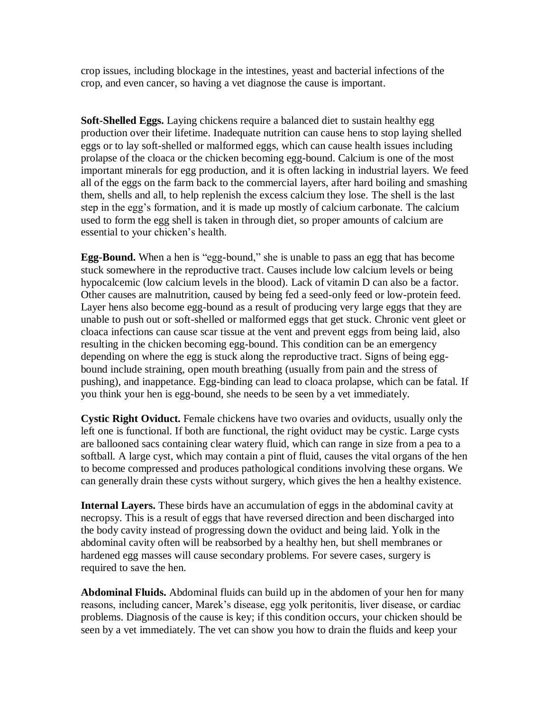crop issues, including blockage in the intestines, yeast and bacterial infections of the crop, and even cancer, so having a vet diagnose the cause is important.

**Soft-Shelled Eggs.** Laying chickens require a balanced diet to sustain healthy egg production over their lifetime. Inadequate nutrition can cause hens to stop laying shelled eggs or to lay soft-shelled or malformed eggs, which can cause health issues including prolapse of the cloaca or the chicken becoming egg-bound. Calcium is one of the most important minerals for egg production, and it is often lacking in industrial layers. We feed all of the eggs on the farm back to the commercial layers, after hard boiling and smashing them, shells and all, to help replenish the excess calcium they lose. The shell is the last step in the egg's formation, and it is made up mostly of calcium carbonate. The calcium used to form the egg shell is taken in through diet, so proper amounts of calcium are essential to your chicken's health.

**Egg-Bound.** When a hen is "egg-bound," she is unable to pass an egg that has become stuck somewhere in the reproductive tract. Causes include low calcium levels or being hypocalcemic (low calcium levels in the blood). Lack of vitamin D can also be a factor. Other causes are malnutrition, caused by being fed a seed-only feed or low-protein feed. Layer hens also become egg-bound as a result of producing very large eggs that they are unable to push out or soft-shelled or malformed eggs that get stuck. Chronic vent gleet or cloaca infections can cause scar tissue at the vent and prevent eggs from being laid, also resulting in the chicken becoming egg-bound. This condition can be an emergency depending on where the egg is stuck along the reproductive tract. Signs of being eggbound include straining, open mouth breathing (usually from pain and the stress of pushing), and inappetance. Egg-binding can lead to cloaca prolapse, which can be fatal. If you think your hen is egg-bound, she needs to be seen by a vet immediately.

**Cystic Right Oviduct.** Female chickens have two ovaries and oviducts, usually only the left one is functional. If both are functional, the right oviduct may be cystic. Large cysts are ballooned sacs containing clear watery fluid, which can range in size from a pea to a softball. A large cyst, which may contain a pint of fluid, causes the vital organs of the hen to become compressed and produces pathological conditions involving these organs. We can generally drain these cysts without surgery, which gives the hen a healthy existence.

**Internal Layers.** These birds have an accumulation of eggs in the abdominal cavity at necropsy. This is a result of eggs that have reversed direction and been discharged into the body cavity instead of progressing down the oviduct and being laid. Yolk in the abdominal cavity often will be reabsorbed by a healthy hen, but shell membranes or hardened egg masses will cause secondary problems. For severe cases, surgery is required to save the hen.

**Abdominal Fluids.** Abdominal fluids can build up in the abdomen of your hen for many reasons, including cancer, Marek's disease, egg yolk peritonitis, liver disease, or cardiac problems. Diagnosis of the cause is key; if this condition occurs, your chicken should be seen by a vet immediately. The vet can show you how to drain the fluids and keep your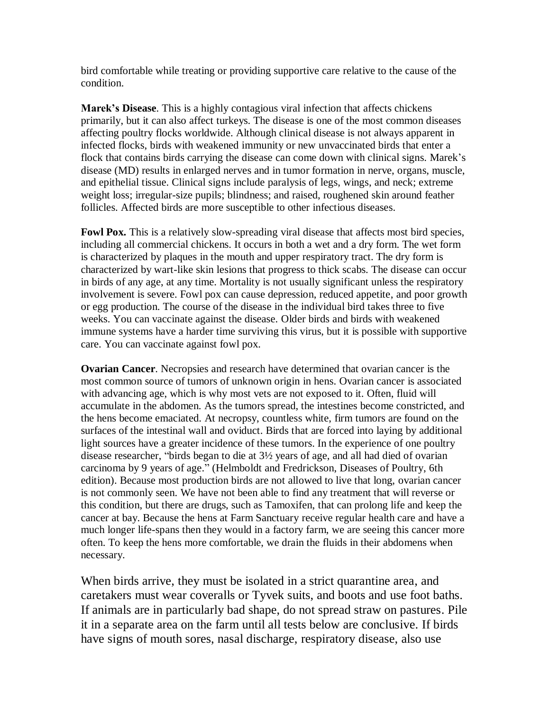bird comfortable while treating or providing supportive care relative to the cause of the condition.

**Marek's Disease**. This is a highly contagious viral infection that affects chickens primarily, but it can also affect turkeys. The disease is one of the most common diseases affecting poultry flocks worldwide. Although clinical disease is not always apparent in infected flocks, birds with weakened immunity or new unvaccinated birds that enter a flock that contains birds carrying the disease can come down with clinical signs. Marek's disease (MD) results in enlarged nerves and in tumor formation in nerve, organs, muscle, and epithelial tissue. Clinical signs include paralysis of legs, wings, and neck; extreme weight loss; irregular-size pupils; blindness; and raised, roughened skin around feather follicles. Affected birds are more susceptible to other infectious diseases.

**Fowl Pox.** This is a relatively slow-spreading viral disease that affects most bird species, including all commercial chickens. It occurs in both a wet and a dry form. The wet form is characterized by plaques in the mouth and upper respiratory tract. The dry form is characterized by wart-like skin lesions that progress to thick scabs. The disease can occur in birds of any age, at any time. Mortality is not usually significant unless the respiratory involvement is severe. Fowl pox can cause depression, reduced appetite, and poor growth or egg production. The course of the disease in the individual bird takes three to five weeks. You can vaccinate against the disease. Older birds and birds with weakened immune systems have a harder time surviving this virus, but it is possible with supportive care. You can vaccinate against fowl pox.

**Ovarian Cancer**. Necropsies and research have determined that ovarian cancer is the most common source of tumors of unknown origin in hens. Ovarian cancer is associated with advancing age, which is why most vets are not exposed to it. Often, fluid will accumulate in the abdomen. As the tumors spread, the intestines become constricted, and the hens become emaciated. At necropsy, countless white, firm tumors are found on the surfaces of the intestinal wall and oviduct. Birds that are forced into laying by additional light sources have a greater incidence of these tumors. In the experience of one poultry disease researcher, "birds began to die at 3½ years of age, and all had died of ovarian carcinoma by 9 years of age." (Helmboldt and Fredrickson, Diseases of Poultry, 6th edition). Because most production birds are not allowed to live that long, ovarian cancer is not commonly seen. We have not been able to find any treatment that will reverse or this condition, but there are drugs, such as Tamoxifen, that can prolong life and keep the cancer at bay. Because the hens at Farm Sanctuary receive regular health care and have a much longer life-spans then they would in a factory farm, we are seeing this cancer more often. To keep the hens more comfortable, we drain the fluids in their abdomens when necessary.

When birds arrive, they must be isolated in a strict quarantine area, and caretakers must wear coveralls or Tyvek suits, and boots and use foot baths. If animals are in particularly bad shape, do not spread straw on pastures. Pile it in a separate area on the farm until all tests below are conclusive. If birds have signs of mouth sores, nasal discharge, respiratory disease, also use